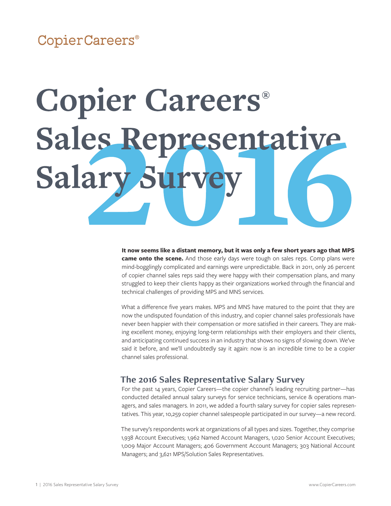CopierCareers®

## **Copier Careers®** Sales Representative Salary Surve

**It now seems like a distant memory, but it was only a few short years ago that MPS came onto the scene.** And those early days were tough on sales reps. Comp plans were mind-bogglingly complicated and earnings were unpredictable. Back in 2011, only 26 percent of copier channel sales reps said they were happy with their compensation plans, and many struggled to keep their clients happy as their organizations worked through the financial and technical challenges of providing MPS and MNS services.

What a difference five years makes. MPS and MNS have matured to the point that they are now the undisputed foundation of this industry, and copier channel sales professionals have never been happier with their compensation or more satisfied in their careers. They are making excellent money, enjoying long-term relationships with their employers and their clients, and anticipating continued success in an industry that shows no signs of slowing down. We've said it before, and we'll undoubtedly say it again: now is an incredible time to be a copier channel sales professional.

#### **The 2016 Sales Representative Salary Survey**

For the past 14 years, Copier Careers—the copier channel's leading recruiting partner—has conducted detailed annual salary surveys for service technicians, service & operations managers, and sales managers. In 2011, we added a fourth salary survey for copier sales representatives. This year, 10,259 copier channel salespeople participated in our survey—a new record.

The survey's respondents work at organizations of all types and sizes. Together, they comprise 1,938 Account Executives; 1,962 Named Account Managers, 1,020 Senior Account Executives; 1,009 Major Account Managers; 406 Government Account Managers; 303 National Account Managers; and 3,621 MPS/Solution Sales Representatives.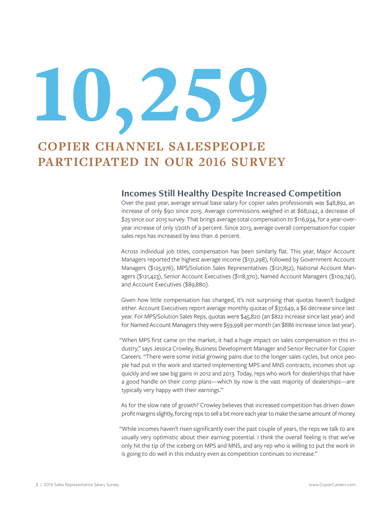# $L^2$

### **COPIER CHANNEL SALESPEOPLE PARTICIPATED IN OUR 2016 SURVEY**

#### **Incomes Still Healthy Despite Increased Competition**

Over the past year, average annual base salary for copier sales professionals was \$48,892, an increase of only \$90 since 2015. Average commissions weighed in at \$68,042, a decrease of \$25 since our 2015 survey. That brings average total compensation to \$116,934, for a year-overyear increase of only 1/20th of a percent. Since 2013, average overall compensation for copier sales reps has increased by less than .6 percent.

Across individual job titles, compensation has been similarly flat. This year, Major Account Managers reported the highest average income (\$131,298), followed by Government Account Managers (\$125,976), MPS/Solution Sales Representatives (\$121,852), National Account Managers (\$121,423), Senior Account Executives (\$118,370), Named Account Managers (\$109,741), and Account Executives (\$89,880).

Given how little compensation has changed, it's not surprising that quotas haven't budged either. Account Executives report average monthly quotas of \$37,649, a \$6 decrease since last year. For MPS/Solution Sales Reps, quotas were \$45,820 (an \$822 increase since last year) and for Named Account Managers they were \$59,998 per month (an \$886 increase since last year).

"When MPS first came on the market, it had a huge impact on sales compensation in this industry," says Jessica Crowley, Business Development Manager and Senior Recruiter for Copier Careers. "There were some initial growing pains due to the longer sales cycles, but once people had put in the work and started implementing MPS and MNS contracts, incomes shot up quickly and we saw big gains in 2012 and 2013. Today, reps who work for dealerships that have a good handle on their comp plans—which by now is the vast majority of dealerships—are typically very happy with their earnings."

As for the slow rate of growth? Crowley believes that increased competition has driven down profit margins slightly, forcing reps to sell a bit more each year to make the same amount of money.

"While incomes haven't risen significantly over the past couple of years, the reps we talk to are usually very optimistic about their earning potential. I think the overall feeling is that we've only hit the tip of the iceberg on MPS and MNS, and any rep who is willing to put the work in is going to do well in this industry even as competition continues to increase."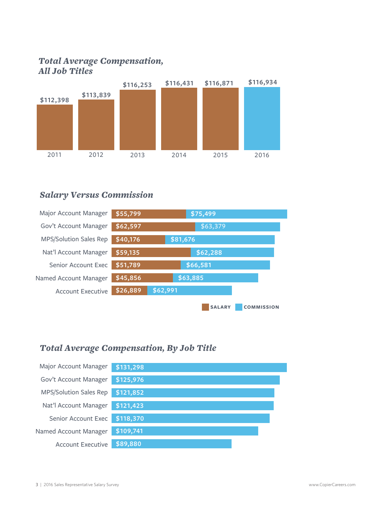#### *Total Average Compensation, All Job Titles*



#### *Salary Versus Commission*



#### *Total Average Compensation, By Job Title*

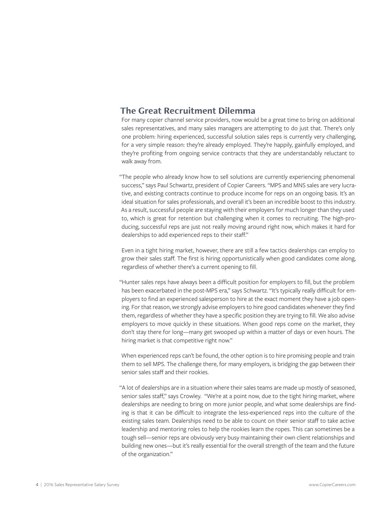#### **The Great Recruitment Dilemma**

For many copier channel service providers, now would be a great time to bring on additional sales representatives, and many sales managers are attempting to do just that. There's only one problem: hiring experienced, successful solution sales reps is currently very challenging, for a very simple reason: they're already employed. They're happily, gainfully employed, and they're profiting from ongoing service contracts that they are understandably reluctant to walk away from.

"The people who already know how to sell solutions are currently experiencing phenomenal success," says Paul Schwartz, president of Copier Careers. "MPS and MNS sales are very lucrative, and existing contracts continue to produce income for reps on an ongoing basis. It's an ideal situation for sales professionals, and overall it's been an incredible boost to this industry. As a result, successful people are staying with their employers for much longer than they used to, which is great for retention but challenging when it comes to recruiting. The high-producing, successful reps are just not really moving around right now, which makes it hard for dealerships to add experienced reps to their staff."

Even in a tight hiring market, however, there are still a few tactics dealerships can employ to grow their sales staff. The first is hiring opportunistically when good candidates come along, regardless of whether there's a current opening to fill.

"Hunter sales reps have always been a difficult position for employers to fill, but the problem has been exacerbated in the post-MPS era," says Schwartz. "It's typically really difficult for employers to find an experienced salesperson to hire at the exact moment they have a job opening. For that reason, we strongly advise employers to hire good candidates whenever they find them, regardless of whether they have a specific position they are trying to fill. We also advise employers to move quickly in these situations. When good reps come on the market, they don't stay there for long—many get swooped up within a matter of days or even hours. The hiring market is that competitive right now."

When experienced reps can't be found, the other option is to hire promising people and train them to sell MPS. The challenge there, for many employers, is bridging the gap between their senior sales staff and their rookies.

"A lot of dealerships are in a situation where their sales teams are made up mostly of seasoned, senior sales staff," says Crowley. "We're at a point now, due to the tight hiring market, where dealerships are needing to bring on more junior people, and what some dealerships are finding is that it can be difficult to integrate the less-experienced reps into the culture of the existing sales team. Dealerships need to be able to count on their senior staff to take active leadership and mentoring roles to help the rookies learn the ropes. This can sometimes be a tough sell—senior reps are obviously very busy maintaining their own client relationships and building new ones—but it's really essential for the overall strength of the team and the future of the organization."